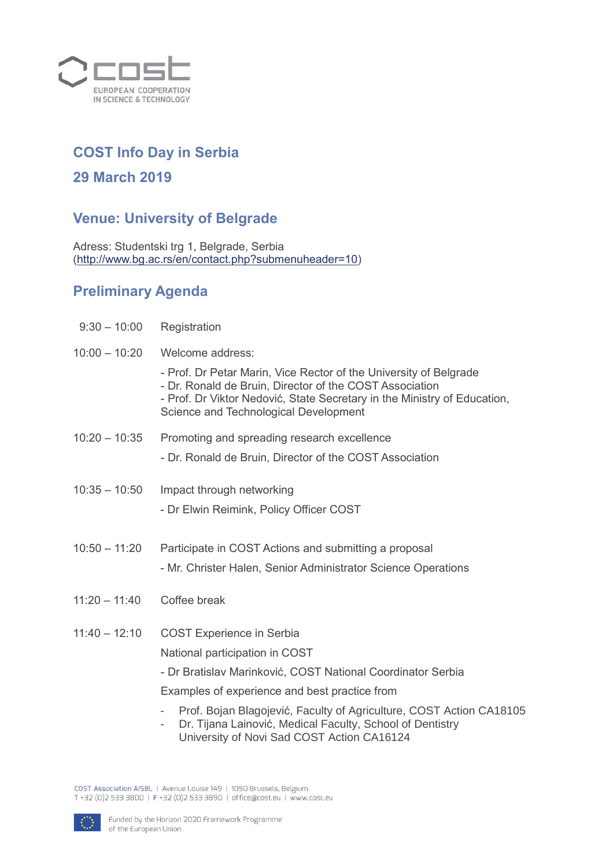

## **COST Info Day in Serbia**

## **29 March 2019**

## **Venue: University of Belgrade**

Adress: Studentski trg 1, Belgrade, Serbia [\(http://www.bg.ac.rs/en/contact.php?submenuheader=10\)](http://www.bg.ac.rs/en/contact.php?submenuheader=10)

## **Preliminary Agenda**

| $9:30 - 10:00$  | Registration                                                                                                                                                                                                                                      |
|-----------------|---------------------------------------------------------------------------------------------------------------------------------------------------------------------------------------------------------------------------------------------------|
| $10:00 - 10:20$ | Welcome address:                                                                                                                                                                                                                                  |
|                 | - Prof. Dr Petar Marin, Vice Rector of the University of Belgrade<br>- Dr. Ronald de Bruin, Director of the COST Association<br>- Prof. Dr Viktor Nedović, State Secretary in the Ministry of Education,<br>Science and Technological Development |
| $10:20 - 10:35$ | Promoting and spreading research excellence                                                                                                                                                                                                       |
|                 | - Dr. Ronald de Bruin, Director of the COST Association                                                                                                                                                                                           |
| $10:35 - 10:50$ | Impact through networking                                                                                                                                                                                                                         |
|                 | - Dr Elwin Reimink, Policy Officer COST                                                                                                                                                                                                           |
| $10:50 - 11:20$ | Participate in COST Actions and submitting a proposal                                                                                                                                                                                             |
|                 | - Mr. Christer Halen, Senior Administrator Science Operations                                                                                                                                                                                     |
| $11:20 - 11:40$ | Coffee break                                                                                                                                                                                                                                      |
| $11:40 - 12:10$ | <b>COST Experience in Serbia</b>                                                                                                                                                                                                                  |
|                 | National participation in COST                                                                                                                                                                                                                    |
|                 | - Dr Bratislav Marinković, COST National Coordinator Serbia                                                                                                                                                                                       |
|                 | Examples of experience and best practice from                                                                                                                                                                                                     |
|                 | Prof. Bojan Blagojević, Faculty of Agriculture, COST Action CA18105<br>Dr. Tijana Lainović, Medical Faculty, School of Dentistry<br>University of Novi Sad COST Action CA16124                                                                    |

COST Association AISBL | Avenue Louise 149 | 1050 Brussels, Belgium<br>T +32 (0)2 533 3800 | F +32 (0)2 533 3890 | office@cost.eu | www.cost.eu